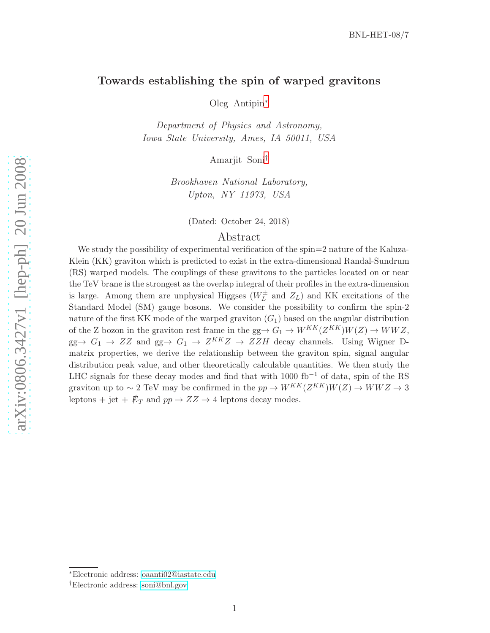## Towards establishing the spin of warped gravitons

Oleg Antipin [∗](#page-0-0)

Department of Physics and Astronomy, Iowa State University, Ames, IA 50011, USA

Amarjit Soni [†](#page-0-1)

Brookhaven National Laboratory, Upton, NY 11973, USA

(Dated: October 24, 2018)

## Abstract

We study the possibility of experimental verification of the spin=2 nature of the Kaluza-Klein (KK) graviton which is predicted to exist in the extra-dimensional Randal-Sundrum (RS) warped models. The couplings of these gravitons to the particles located on or near the TeV brane is the strongest as the overlap integral of their profiles in the extra-dimension is large. Among them are unphysical Higgses  $(W_L^{\pm})$  $\overline{L}$  and  $Z_L$ ) and KK excitations of the Standard Model (SM) gauge bosons. We consider the possibility to confirm the spin-2 nature of the first KK mode of the warped graviton  $(G_1)$  based on the angular distribution of the Z bozon in the graviton rest frame in the gg $\rightarrow G_1 \rightarrow W^{KK}(Z^{KK})W(Z) \rightarrow WWZ$ ,  $gg \to G_1 \to ZZ$  and  $gg \to G_1 \to Z^{KK}Z \to ZZH$  decay channels. Using Wigner Dmatrix properties, we derive the relationship between the graviton spin, signal angular distribution peak value, and other theoretically calculable quantities. We then study the LHC signals for these decay modes and find that with 1000 fb<sup>-1</sup> of data, spin of the RS graviton up to ~ 2 TeV may be confirmed in the  $pp \to W^{KK}(Z^{KK})W(Z) \to WWZ \to 3$ leptons + jet +  $\not{E}_T$  and  $pp \to ZZ \to 4$  leptons decay modes.

<span id="page-0-0"></span><sup>∗</sup>Electronic address: [oaanti02@iastate.edu](mailto:oaanti02@iastate.edu)

<span id="page-0-1"></span><sup>†</sup>Electronic address: [soni@bnl.gov](mailto:soni@bnl.gov)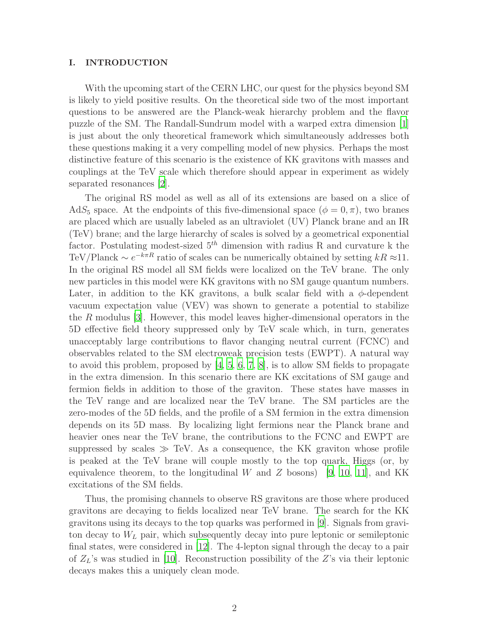#### I. INTRODUCTION

With the upcoming start of the CERN LHC, our quest for the physics beyond SM is likely to yield positive results. On the theoretical side two of the most important questions to be answered are the Planck-weak hierarchy problem and the flavor puzzle of the SM. The Randall-Sundrum model with a warped extra dimension [\[1](#page-16-0)] is just about the only theoretical framework which simultaneously addresses both these questions making it a very compelling model of new physics. Perhaps the most distinctive feature of this scenario is the existence of KK gravitons with masses and couplings at the TeV scale which therefore should appear in experiment as widely separated resonances [\[2](#page-16-1)].

The original RS model as well as all of its extensions are based on a slice of AdS<sub>5</sub> space. At the endpoints of this five-dimensional space ( $\phi = 0, \pi$ ), two branes are placed which are usually labeled as an ultraviolet (UV) Planck brane and an IR (TeV) brane; and the large hierarchy of scales is solved by a geometrical exponential factor. Postulating modest-sized  $5<sup>th</sup>$  dimension with radius R and curvature k the TeV/Planck  $\sim e^{-k\pi R}$  ratio of scales can be numerically obtained by setting  $kR \approx 11$ . In the original RS model all SM fields were localized on the TeV brane. The only new particles in this model were KK gravitons with no SM gauge quantum numbers. Later, in addition to the KK gravitons, a bulk scalar field with a  $\phi$ -dependent vacuum expectation value (VEV) was shown to generate a potential to stabilize the R modulus [\[3\]](#page-16-2). However, this model leaves higher-dimensional operators in the 5D effective field theory suppressed only by TeV scale which, in turn, generates unacceptably large contributions to flavor changing neutral current (FCNC) and observables related to the SM electroweak precision tests (EWPT). A natural way to avoid this problem, proposed by  $[4, 5, 6, 7, 8]$  $[4, 5, 6, 7, 8]$  $[4, 5, 6, 7, 8]$  $[4, 5, 6, 7, 8]$  $[4, 5, 6, 7, 8]$  $[4, 5, 6, 7, 8]$  $[4, 5, 6, 7, 8]$  $[4, 5, 6, 7, 8]$ , is to allow SM fields to propagate in the extra dimension. In this scenario there are KK excitations of SM gauge and fermion fields in addition to those of the graviton. These states have masses in the TeV range and are localized near the TeV brane. The SM particles are the zero-modes of the 5D fields, and the profile of a SM fermion in the extra dimension depends on its 5D mass. By localizing light fermions near the Planck brane and heavier ones near the TeV brane, the contributions to the FCNC and EWPT are suppressed by scales  $\gg$  TeV. As a consequence, the KK graviton whose profile is peaked at the TeV brane will couple mostly to the top quark, Higgs (or, by equivalence theorem, to the longitudinal W and Z bosons) [\[9,](#page-17-1) [10,](#page-17-2) [11](#page-17-3)], and KK excitations of the SM fields.

Thus, the promising channels to observe RS gravitons are those where produced gravitons are decaying to fields localized near TeV brane. The search for the KK gravitons using its decays to the top quarks was performed in [\[9](#page-17-1)]. Signals from graviton decay to  $W<sub>L</sub>$  pair, which subsequently decay into pure leptonic or semileptonic final states, were considered in [\[12\]](#page-17-4). The 4-lepton signal through the decay to a pair of  $Z_L$ 's was studied in [\[10](#page-17-2)]. Reconstruction possibility of the Z's via their leptonic decays makes this a uniquely clean mode.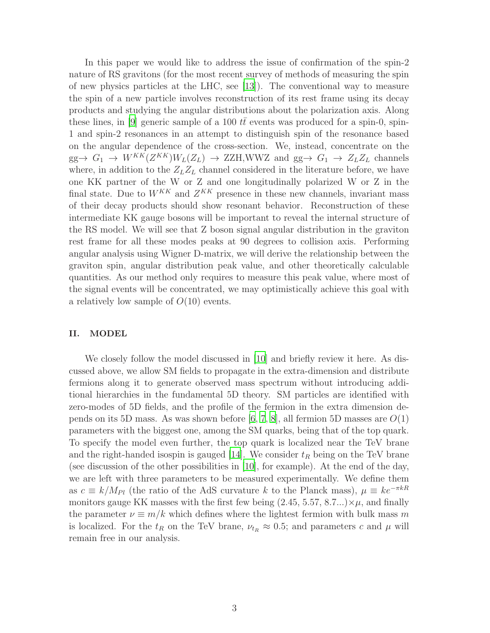In this paper we would like to address the issue of confirmation of the spin-2 nature of RS gravitons (for the most recent survey of methods of measuring the spin of new physics particles at the LHC, see [\[13\]](#page-17-5)). The conventional way to measure the spin of a new particle involves reconstruction of its rest frame using its decay products and studying the angular distributions about the polarization axis. Along these lines, in [\[9\]](#page-17-1) generic sample of a 100  $tt$  events was produced for a spin-0, spin-1 and spin-2 resonances in an attempt to distinguish spin of the resonance based on the angular dependence of the cross-section. We, instead, concentrate on the  $gg \to G_1 \to W^{KK}(Z^{KK})W_L(Z_L) \to ZZH, WWZ$  and  $gg \to G_1 \to Z_LZ_L$  channels where, in addition to the  $Z_L Z_L$  channel considered in the literature before, we have one KK partner of the W or Z and one longitudinally polarized W or Z in the final state. Due to  $W^{KK}$  and  $Z^{KK}$  presence in these new channels, invariant mass of their decay products should show resonant behavior. Reconstruction of these intermediate KK gauge bosons will be important to reveal the internal structure of the RS model. We will see that Z boson signal angular distribution in the graviton rest frame for all these modes peaks at 90 degrees to collision axis. Performing angular analysis using Wigner D-matrix, we will derive the relationship between the graviton spin, angular distribution peak value, and other theoretically calculable quantities. As our method only requires to measure this peak value, where most of the signal events will be concentrated, we may optimistically achieve this goal with a relatively low sample of  $O(10)$  events.

## II. MODEL

We closely follow the model discussed in [\[10\]](#page-17-2) and briefly review it here. As discussed above, we allow SM fields to propagate in the extra-dimension and distribute fermions along it to generate observed mass spectrum without introducing additional hierarchies in the fundamental 5D theory. SM particles are identified with zero-modes of 5D fields, and the profile of the fermion in the extra dimension de-pends on its 5D mass. As was shown before [\[6](#page-16-5), [7,](#page-16-6) [8](#page-17-0)], all fermion 5D masses are  $O(1)$ parameters with the biggest one, among the SM quarks, being that of the top quark. To specify the model even further, the top quark is localized near the TeV brane and the right-handed isospin is gauged [\[14](#page-17-6)]. We consider  $t_R$  being on the TeV brane (see discussion of the other possibilities in [\[10\]](#page-17-2), for example). At the end of the day, we are left with three parameters to be measured experimentally. We define them as  $c \equiv k/M_{Pl}$  (the ratio of the AdS curvature k to the Planck mass),  $\mu \equiv ke^{-\pi kR}$ monitors gauge KK masses with the first few being  $(2.45, 5.57, 8.7...)\times\mu$ , and finally the parameter  $\nu \equiv m/k$  which defines where the lightest fermion with bulk mass m is localized. For the  $t_R$  on the TeV brane,  $\nu_{t_R} \approx 0.5$ ; and parameters c and  $\mu$  will remain free in our analysis.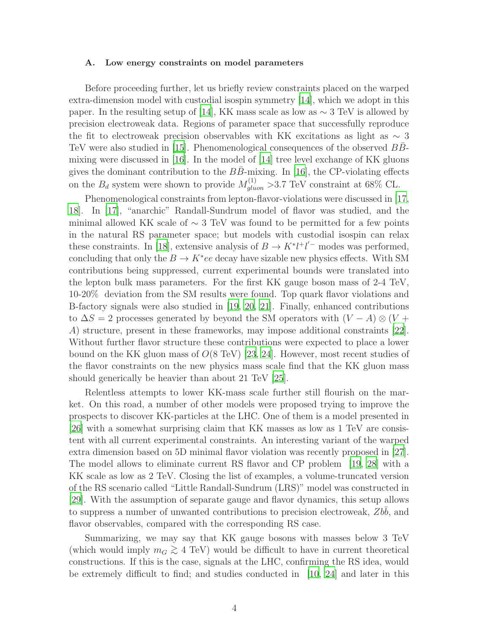#### A. Low energy constraints on model parameters

Before proceeding further, let us briefly review constraints placed on the warped extra-dimension model with custodial isospin symmetry [\[14](#page-17-6)], which we adopt in this paper. In the resulting setup of [\[14\]](#page-17-6), KK mass scale as low as  $\sim 3$  TeV is allowed by precision electroweak data. Regions of parameter space that successfully reproduce the fit to electroweak precision observables with KK excitations as light as  $\sim 3$ TeV were also studied in [\[15](#page-17-7)]. Phenomenological consequences of the observed  $BB-$ mixing were discussed in  $[16]$ . In the model of  $[14]$  tree level exchange of KK gluons gives the dominant contribution to the  $BB$ -mixing. In [\[16](#page-17-8)], the CP-violating effects on the  $B_d$  system were shown to provide  $M_{gluon}^{(1)} > 3.7$  TeV constraint at 68% CL.

Phenomenological constraints from lepton-flavor-violations were discussed in [\[17](#page-17-9), [18\]](#page-17-10). In [\[17](#page-17-9)], "anarchic" Randall-Sundrum model of flavor was studied, and the minimal allowed KK scale of  $\sim$  3 TeV was found to be permitted for a few points in the natural RS parameter space; but models with custodial isospin can relax these constraints. In [\[18](#page-17-10)], extensive analysis of  $B \to K^* l^+ l'^-$  modes was performed, concluding that only the  $B \to K^*ee$  decay have sizable new physics effects. With SM contributions being suppressed, current experimental bounds were translated into the lepton bulk mass parameters. For the first KK gauge boson mass of 2-4 TeV, 10-20% deviation from the SM results were found. Top quark flavor violations and B-factory signals were also studied in [\[19](#page-17-11), [20,](#page-17-12) [21\]](#page-17-13). Finally, enhanced contributions to  $\Delta S = 2$  processes generated by beyond the SM operators with  $(V - A) \otimes (V +$ A) structure, present in these frameworks, may impose additional constraints [\[22\]](#page-17-14). Without further flavor structure these contributions were expected to place a lower bound on the KK gluon mass of  $O(8 \text{ TeV})$  [\[23](#page-17-15), [24\]](#page-17-16). However, most recent studies of the flavor constraints on the new physics mass scale find that the KK gluon mass should generically be heavier than about 21 TeV [\[25](#page-17-17)].

Relentless attempts to lower KK-mass scale further still flourish on the market. On this road, a number of other models were proposed trying to improve the prospects to discover KK-particles at the LHC. One of them is a model presented in [\[26](#page-17-18)] with a somewhat surprising claim that KK masses as low as 1 TeV are consistent with all current experimental constraints. An interesting variant of the warped extra dimension based on 5D minimal flavor violation was recently proposed in [\[27\]](#page-17-19). The model allows to eliminate current RS flavor and CP problem [\[19,](#page-17-11) [28\]](#page-17-20) with a KK scale as low as 2 TeV. Closing the list of examples, a volume-truncated version of the RS scenario called "Little Randall-Sundrum (LRS)" model was constructed in [\[29](#page-17-21)]. With the assumption of separate gauge and flavor dynamics, this setup allows to suppress a number of unwanted contributions to precision electroweak,  $Zbb$ , and flavor observables, compared with the corresponding RS case.

Summarizing, we may say that KK gauge bosons with masses below 3 TeV (which would imply  $m_G \geq 4$  TeV) would be difficult to have in current theoretical constructions. If this is the case, signals at the LHC, confirming the RS idea, would be extremely difficult to find; and studies conducted in [\[10,](#page-17-2) [24](#page-17-16)] and later in this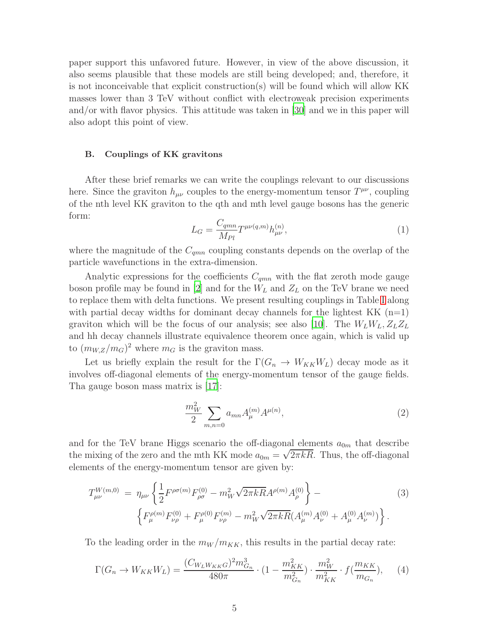paper support this unfavored future. However, in view of the above discussion, it also seems plausible that these models are still being developed; and, therefore, it is not inconceivable that explicit construction(s) will be found which will allow KK masses lower than 3 TeV without conflict with electroweak precision experiments and/or with flavor physics. This attitude was taken in [\[30\]](#page-17-22) and we in this paper will also adopt this point of view.

## B. Couplings of KK gravitons

After these brief remarks we can write the couplings relevant to our discussions here. Since the graviton  $h_{\mu\nu}$  couples to the energy-momentum tensor  $T^{\mu\nu}$ , coupling of the nth level KK graviton to the qth and mth level gauge bosons has the generic form:

$$
L_G = \frac{C_{qmn}}{M_{Pl}} T^{\mu\nu(q,m)} h_{\mu\nu}^{(n)},
$$
\n(1)

where the magnitude of the  $C_{gmn}$  coupling constants depends on the overlap of the particle wavefunctions in the extra-dimension.

Analytic expressions for the coefficients  $C_{qmn}$  with the flat zeroth mode gauge boson profile may be found in [\[2](#page-16-1)] and for the  $W_L$  and  $Z_L$  on the TeV brane we need to replace them with delta functions. We present resulting couplings in Table [I](#page-5-0) along with partial decay widths for dominant decay channels for the lightest  $KK$  (n=1) graviton which will be the focus of our analysis; see also [\[10\]](#page-17-2). The  $W_L W_L$ ,  $Z_L Z_L$ and hh decay channels illustrate equivalence theorem once again, which is valid up to  $(m_{W,Z}/m_G)^2$  where  $m_G$  is the graviton mass.

Let us briefly explain the result for the  $\Gamma(G_n \to W_{KK}W_L)$  decay mode as it involves off-diagonal elements of the energy-momentum tensor of the gauge fields. Tha gauge boson mass matrix is [\[17](#page-17-9)]:

$$
\frac{m_W^2}{2} \sum_{m,n=0} a_{mn} A_{\mu}^{(m)} A^{\mu(n)},\tag{2}
$$

and for the TeV brane Higgs scenario the off-diagonal elements  $a_{0m}$  that describe the mixing of the zero and the mth KK mode  $a_{0m} = \sqrt{2\pi kR}$ . Thus, the off-diagonal elements of the energy-momentum tensor are given by:

$$
T_{\mu\nu}^{W(m,0)} = \eta_{\mu\nu} \left\{ \frac{1}{2} F^{\rho\sigma(m)} F_{\rho\sigma}^{(0)} - m_W^2 \sqrt{2\pi k R} A^{\rho(m)} A_{\rho}^{(0)} \right\} - \left\{ F_{\mu}^{\rho(m)} F_{\nu\rho}^{(0)} + F_{\mu}^{\rho(0)} F_{\nu\rho}^{(m)} - m_W^2 \sqrt{2\pi k R} (A_{\mu}^{(m)} A_{\nu}^{(0)} + A_{\mu}^{(0)} A_{\nu}^{(m)}) \right\}.
$$
\n(3)

To the leading order in the  $m_W/m_{KK}$ , this results in the partial decay rate:

$$
\Gamma(G_n \to W_{KK}W_L) = \frac{(C_{W_L W_{KK}G})^2 m_{G_n}^3}{480\pi} \cdot (1 - \frac{m_{KK}^2}{m_{G_n}^2}) \cdot \frac{m_W^2}{m_{KK}^2} \cdot f(\frac{m_{KK}}{m_{G_n}}),
$$
 (4)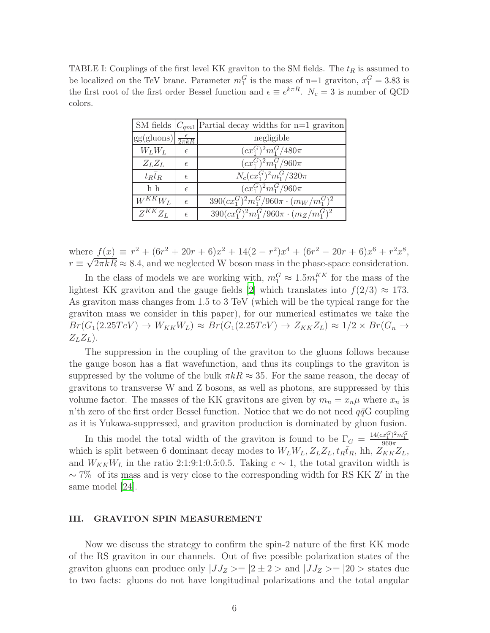<span id="page-5-0"></span>TABLE I: Couplings of the first level KK graviton to the SM fields. The  $t_R$  is assumed to be localized on the TeV brane. Parameter  $m_1^G$  is the mass of n=1 graviton,  $x_1^G = 3.83$  is the first root of the first order Bessel function and  $\epsilon \equiv e^{k\pi R}$ .  $N_c = 3$  is number of QCD colors.

|                                       |            | SM fields $ C_{qm1} $ Partial decay widths for n=1 graviton |
|---------------------------------------|------------|-------------------------------------------------------------|
| $gg(gluons) \frac{\epsilon}{2\pi kR}$ |            | negligible                                                  |
| $W_L W_L$                             | $\epsilon$ | $(cx_1^G)^2m_1^G/480\pi$                                    |
| $Z_L Z_L$                             | $\epsilon$ | $(cx_1^G)^2m_1^G/960\pi$                                    |
| $t_R\bar{t}_R$                        | $\epsilon$ | $N_c(cx_1^G)^2m_1^G/320\pi$                                 |
| h h                                   | $\epsilon$ | $(cx_1^G)^2m_1^G/960\pi$                                    |
| $W^{KK}W_L$                           | $\epsilon$ | $390(cx_1^G)^2m_1^G/960\pi \cdot (m_W/m_1^G)^2$             |
| $Z^{KK}Z_L$                           | $\epsilon$ | $390(cx_1^G)^2m_1^G/960\pi \cdot (m_Z/m_1^G)^2$             |

where  $f(x) \equiv r^2 + (6r^2 + 20r + 6)x^2 + 14(2 - r^2)x^4 + (6r^2 - 20r + 6)x^6 + r^2x^8$ ,  $r \equiv \sqrt{2\pi kR} \approx 8.4$ , and we neglected W boson mass in the phase-space consideration.

In the class of models we are working with,  $m_1^G \approx 1.5 m_1^{KK}$  for the mass of the lightest KK graviton and the gauge fields [\[2\]](#page-16-1) which translates into  $f(2/3) \approx 173$ . As graviton mass changes from 1.5 to 3 TeV (which will be the typical range for the graviton mass we consider in this paper), for our numerical estimates we take the  $Br(G_1(2.25 TeV) \rightarrow W_{KK}W_L) \approx Br(G_1(2.25 TeV) \rightarrow Z_{KK}Z_L) \approx 1/2 \times Br(G_n \rightarrow$  $Z_LZ_L$ ).

The suppression in the coupling of the graviton to the gluons follows because the gauge boson has a flat wavefunction, and thus its couplings to the graviton is suppressed by the volume of the bulk  $\pi kR \approx 35$ . For the same reason, the decay of gravitons to transverse W and Z bosons, as well as photons, are suppressed by this volume factor. The masses of the KK gravitons are given by  $m_n = x_n \mu$  where  $x_n$  is n'th zero of the first order Bessel function. Notice that we do not need  $q\bar{q}G$  coupling as it is Yukawa-suppressed, and graviton production is dominated by gluon fusion.

In this model the total width of the graviton is found to be  $\Gamma_G = \frac{14(cx_1^G)^2m_1^G}{960\pi}$ <br>which is split between 6 dominant decay modes to  $W_LW_L$ ,  $Z_LZ_L$ ,  $t_R\bar{t}_R$ , hh,  $Z_{KK}Z_L$ , and  $W_{KK}W_L$  in the ratio 2:1:9:1:0.5:0.5. Taking  $c \sim 1$ , the total graviton width is  $\sim$  7% of its mass and is very close to the corresponding width for RS KK Z' in the same model [\[24](#page-17-16)].

#### III. GRAVITON SPIN MEASUREMENT

Now we discuss the strategy to confirm the spin-2 nature of the first KK mode of the RS graviton in our channels. Out of five possible polarization states of the graviton gluons can produce only  $|JJ_Z\rangle = |2 \pm 2\rangle$  and  $|JJ_Z\rangle = |20\rangle$  states due to two facts: gluons do not have longitudinal polarizations and the total angular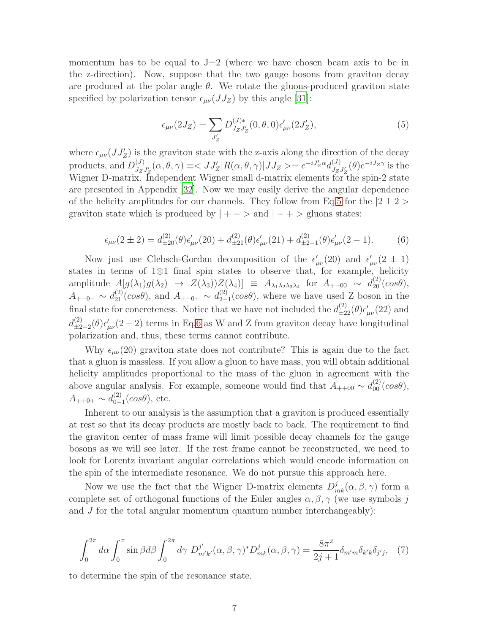momentum has to be equal to  $J=2$  (where we have chosen beam axis to be in the z-direction). Now, suppose that the two gauge bosons from graviton decay are produced at the polar angle  $\theta$ . We rotate the gluons-produced graviton state specified by polarization tensor  $\epsilon_{\mu\nu}(JJ_Z)$  by this angle [\[31](#page-17-23)]:

<span id="page-6-0"></span>
$$
\epsilon_{\mu\nu}(2J_Z) = \sum_{J'_Z} D_{J_Z J'_Z}^{(J)*}(0, \theta, 0) \epsilon'_{\mu\nu}(2J'_Z),\tag{5}
$$

where  $\epsilon_{\mu\nu}(JJ_Z')$  is the graviton state with the z-axis along the direction of the decay products, and  $D_{J_z}^{(J)}$  $J_{JZ}^{(J)}(\alpha, \theta, \gamma) \equiv \langle JJ'_Z | R(\alpha, \theta, \gamma) | JJ_Z \rangle = e^{-iJ'_Z \alpha} d_{JZ}^{(J)}$  $J_zJ_z'(\theta)e^{-iJ_z\gamma}$  is the Wigner D-matrix. Independent Wigner small d-matrix elements for the spin-2 state are presented in Appendix [\[32\]](#page-17-24). Now we may easily derive the angular dependence of the helicity amplitudes for our channels. They follow from Eq[.5](#page-6-0) for the  $|2 \pm 2>$ graviton state which is produced by  $| + - \rangle$  and  $| - + \rangle$  gluons states:

<span id="page-6-1"></span>
$$
\epsilon_{\mu\nu}(2\pm 2) = d_{\pm 20}^{(2)}(\theta)\epsilon'_{\mu\nu}(20) + d_{\pm 21}^{(2)}(\theta)\epsilon'_{\mu\nu}(21) + d_{\pm 2-1}^{(2)}(\theta)\epsilon'_{\mu\nu}(2-1). \tag{6}
$$

Now just use Clebsch-Gordan decomposition of the  $\epsilon'_{\mu\nu}(20)$  and  $\epsilon'_{\mu\nu}(2 \pm 1)$ states in terms of 1⊗1 final spin states to observe that, for example, helicity amplitude  $A[g(\lambda_1)g(\lambda_2) \rightarrow Z(\lambda_3))Z(\lambda_4)] \equiv A_{\lambda_1\lambda_2\lambda_3\lambda_4}$  for  $A_{+-00} \sim d_{20}^{(2)}(cos\theta)$ ,  $A_{+-0-} \sim d_{21}^{(2)}(cos\theta)$ , and  $A_{+-0+} \sim d_{2-}^{(2)}$  $_{2-1}^{(2)}(cos\theta)$ , where we have used Z boson in the final state for concreteness. Notice that we have not included the  $d_{\pm 22}^{(2)}(\theta) \epsilon'_{\mu\nu}(22)$  and  $d_{\pm 2}^{(2)}$  $\frac{d^{(2)}}{d^{(2)}-2}$  (θ) $\epsilon'_{\mu\nu}(2-2)$  terms in Eq[.6](#page-6-1) as W and Z from graviton decay have longitudinal polarization and, thus, these terms cannot contribute.

Why  $\epsilon_{\mu\nu}(20)$  graviton state does not contribute? This is again due to the fact that a gluon is massless. If you allow a gluon to have mass, you will obtain additional helicity amplitudes proportional to the mass of the gluon in agreement with the above angular analysis. For example, someone would find that  $A_{++00} \sim d_{00}^{(2)}(cos\theta)$ ,  $A_{++0+} \sim d_{0-}^{(2)}$  $_{0-1}^{(2)}(cos\theta),$  etc.

Inherent to our analysis is the assumption that a graviton is produced essentially at rest so that its decay products are mostly back to back. The requirement to find the graviton center of mass frame will limit possible decay channels for the gauge bosons as we will see later. If the rest frame cannot be reconstructed, we need to look for Lorentz invariant angular correlations which would encode information on the spin of the intermediate resonance. We do not pursue this approach here.

Now we use the fact that the Wigner D-matrix elements  $D_{mk}^{j}(\alpha, \beta, \gamma)$  form a complete set of orthogonal functions of the Euler angles  $\alpha, \beta, \gamma$  (we use symbols j and  $J$  for the total angular momentum quantum number interchangeably):

$$
\int_0^{2\pi} d\alpha \int_0^{\pi} \sin\beta d\beta \int_0^{2\pi} d\gamma \ D^{j'}_{m'k'}(\alpha,\beta,\gamma)^* D^j_{mk}(\alpha,\beta,\gamma) = \frac{8\pi^2}{2j+1} \delta_{m'm} \delta_{k'k} \delta_{j'j}, \tag{7}
$$

to determine the spin of the resonance state.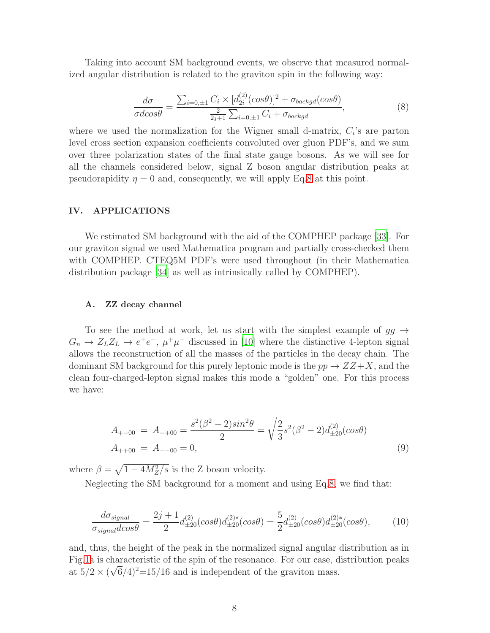Taking into account SM background events, we observe that measured normalized angular distribution is related to the graviton spin in the following way:

<span id="page-7-0"></span>
$$
\frac{d\sigma}{\sigma d\cos\theta} = \frac{\sum_{i=0,\pm 1} C_i \times [d_{2i}^{(2)}(\cos\theta)]^2 + \sigma_{background}(\cos\theta)}{\frac{2}{2j+1}\sum_{i=0,\pm 1} C_i + \sigma_{background}},\tag{8}
$$

where we used the normalization for the Wigner small d-matrix,  $C_i$ 's are parton level cross section expansion coefficients convoluted over gluon PDF's, and we sum over three polarization states of the final state gauge bosons. As we will see for all the channels considered below, signal Z boson angular distribution peaks at pseudorapidity  $\eta = 0$  and, consequently, we will apply Eq[.8](#page-7-0) at this point.

## IV. APPLICATIONS

We estimated SM background with the aid of the COMPHEP package [\[33\]](#page-17-25). For our graviton signal we used Mathematica program and partially cross-checked them with COMPHEP. CTEQ5M PDF's were used throughout (in their Mathematica distribution package [\[34\]](#page-17-26) as well as intrinsically called by COMPHEP).

### A. ZZ decay channel

To see the method at work, let us start with the simplest example of  $gg \rightarrow$  $G_n \to Z_L Z_L \to e^+ e^-$ ,  $\mu^+ \mu^-$  discussed in [\[10](#page-17-2)] where the distinctive 4-lepton signal allows the reconstruction of all the masses of the particles in the decay chain. The dominant SM background for this purely leptonic mode is the  $pp \rightarrow ZZ+X$ , and the clean four-charged-lepton signal makes this mode a "golden" one. For this process we have:

$$
A_{+-00} = A_{-+00} = \frac{s^2(\beta^2 - 2)sin^2\theta}{2} = \sqrt{\frac{2}{3}}s^2(\beta^2 - 2)d^{(2)}_{\pm 20}(cos\theta)
$$
  
\n
$$
A_{++00} = A_{--00} = 0,
$$
\n(9)

where  $\beta = \sqrt{1 - 4M_Z^2/s}$  is the Z boson velocity.

Neglecting the SM background for a moment and using Eq[.8,](#page-7-0) we find that:

$$
\frac{d\sigma_{signal}}{\sigma_{signal}d\cos\theta} = \frac{2j+1}{2}d^{(2)}_{\pm 20}(\cos\theta)d^{(2)*}_{\pm 20}(\cos\theta) = \frac{5}{2}d^{(2)}_{\pm 20}(\cos\theta)d^{(2)*}_{\pm 20}(\cos\theta),\tag{10}
$$

and, thus, the height of the peak in the normalized signal angular distribution as in Fig[.1a](#page-8-0) is characteristic of the spin of the resonance. For our case, distribution peaks at  $5/2 \times (\sqrt{6}/4)^2 = 15/16$  and is independent of the graviton mass.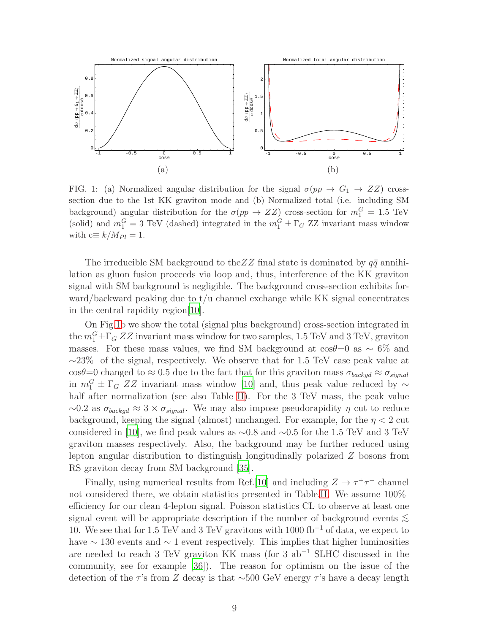

<span id="page-8-0"></span>FIG. 1: (a) Normalized angular distribution for the signal  $\sigma(pp \to G_1 \to ZZ)$  crosssection due to the 1st KK graviton mode and (b) Normalized total (i.e. including SM background) angular distribution for the  $\sigma(pp \to ZZ)$  cross-section for  $m_1^G = 1.5$  TeV (solid) and  $m_1^G = 3$  TeV (dashed) integrated in the  $m_1^G \pm \Gamma_G$  ZZ invariant mass window with  $c \equiv k/M_{Pl} = 1$ .

The irreducible SM background to the  $ZZ$  final state is dominated by  $q\bar{q}$  annihilation as gluon fusion proceeds via loop and, thus, interference of the KK graviton signal with SM background is negligible. The background cross-section exhibits forward/backward peaking due to t/u channel exchange while KK signal concentrates in the central rapidity region[\[10](#page-17-2)].

On Fig[.1b](#page-8-0) we show the total (signal plus background) cross-section integrated in the  $m_1^G \pm \Gamma_G ZZ$  invariant mass window for two samples, 1.5 TeV and 3 TeV, graviton masses. For these mass values, we find SM background at  $cos\theta=0$  as  $\sim 6\%$  and  $\sim$ 23% of the signal, respectively. We observe that for 1.5 TeV case peak value at cosθ=0 changed to  $\approx 0.5$  due to the fact that for this graviton mass  $\sigma_{background} \approx \sigma_{signal}$ in  $m_1^G \pm \Gamma_G ZZ$  invariant mass window [\[10](#page-17-2)] and, thus peak value reduced by  $\sim$ half after normalization (see also Table [II\)](#page-9-0). For the 3 TeV mass, the peak value  $\sim$ 0.2 as  $\sigma_{background} \approx 3 \times \sigma_{signal}$ . We may also impose pseudorapidity  $\eta$  cut to reduce background, keeping the signal (almost) unchanged. For example, for the  $\eta < 2$  cut considered in [\[10\]](#page-17-2), we find peak values as  $\sim 0.8$  and  $\sim 0.5$  for the 1.5 TeV and 3 TeV graviton masses respectively. Also, the background may be further reduced using lepton angular distribution to distinguish longitudinally polarized Z bosons from RS graviton decay from SM background [\[35\]](#page-17-27).

Finally, using numerical results from Ref.[\[10](#page-17-2)] and including  $Z \to \tau^+\tau^-$  channel not considered there, we obtain statistics presented in Table[.II.](#page-9-0) We assume 100% efficiency for our clean 4-lepton signal. Poisson statistics CL to observe at least one signal event will be appropriate description if the number of background events  $\lesssim$ 10. We see that for 1.5 TeV and 3 TeV gravitons with 1000 fb<sup>-1</sup> of data, we expect to have  $\sim$  130 events and  $\sim$  1 event respectively. This implies that higher luminosities are needed to reach 3 TeV graviton KK mass (for 3 ab<sup>-1</sup> SLHC discussed in the community, see for example [\[36\]](#page-18-0)). The reason for optimism on the issue of the detection of the τ's from Z decay is that ∼500 GeV energy τ's have a decay length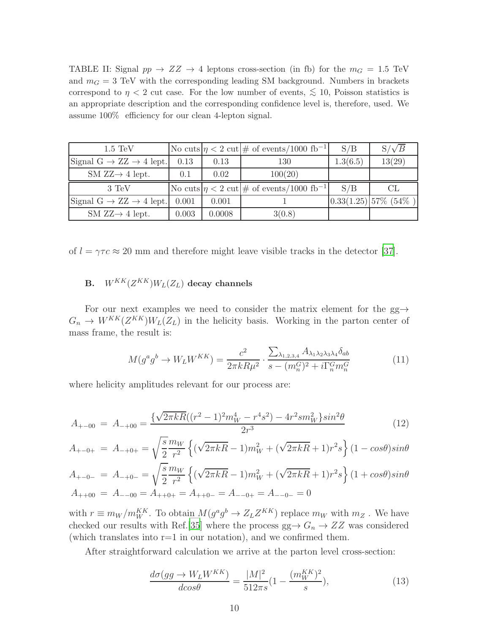<span id="page-9-0"></span>TABLE II: Signal  $pp \rightarrow ZZ \rightarrow 4$  leptons cross-section (in fb) for the  $m_G = 1.5$  TeV and  $m<sub>G</sub> = 3$  TeV with the corresponding leading SM background. Numbers in brackets correspond to  $\eta$  < 2 cut case. For the low number of events,  $\lesssim 10$ , Poisson statistics is an appropriate description and the corresponding confidence level is, therefore, used. We assume 100% efficiency for our clean 4-lepton signal.

| $1.5 \text{ TeV}$                             |       |       | No cuts $ \eta < 2$ cut $ \#$ of events/1000 fb <sup>-1</sup> | S/B      | $S/\sqrt{B}$              |
|-----------------------------------------------|-------|-------|---------------------------------------------------------------|----------|---------------------------|
| Signal $G \rightarrow ZZ \rightarrow 4$ lept. | 0.13  | 0.13  | 130                                                           | 1.3(6.5) | 13(29)                    |
| SM $ZZ\rightarrow 4$ lept.                    | 0.1   | 0.02  | 100(20)                                                       |          |                           |
|                                               |       |       |                                                               |          |                           |
| 3 TeV                                         |       |       | No cuts $ \eta < 2$ cut $ \#$ of events/1000 fb <sup>-1</sup> | S/B      | CL                        |
| Signal $G \rightarrow ZZ \rightarrow 4$ lept. | 0.001 | 0.001 |                                                               |          | $ 0.33(1.25) 57\%$ (54\%) |

of  $l = \gamma \tau c \approx 20$  mm and therefore might leave visible tracks in the detector [\[37\]](#page-18-1).

# $\, {\bf B.} \quad W^{KK}(Z^{KK}) W_L(Z_L) \, \, {\bf decay \,\, channels}$

For our next examples we need to consider the matrix element for the  $gg\rightarrow$  $G_n \to W^{KK}(Z^{KK})W_L(Z_L)$  in the helicity basis. Working in the parton center of mass frame, the result is:

$$
M(g^a g^b \to W_L W^{KK}) = \frac{c^2}{2\pi k R \mu^2} \cdot \frac{\sum_{\lambda_{1,2,3,4}} A_{\lambda_1 \lambda_2 \lambda_3 \lambda_4} \delta_{ab}}{s - (m_n^G)^2 + i \Gamma_n^G m_n^G}
$$
(11)

where helicity amplitudes relevant for our process are:

<span id="page-9-1"></span>
$$
A_{+-00} = A_{-+00} = \frac{\{\sqrt{2\pi kR}((r^2 - 1)^2 m_W^4 - r^4 s^2) - 4r^2 s m_W^2\} \sin^2\theta}{2r^3}
$$
(12)

$$
A_{+-0+} = A_{-+0+} = \sqrt{\frac{s}{2}} \frac{m_W}{r^2} \left\{ (\sqrt{2\pi kR} - 1) m_W^2 + (\sqrt{2\pi kR} + 1) r^2 s \right\} (1 - \cos\theta) \sin\theta
$$

$$
A_{+-0-} = A_{-+0-} = \sqrt{\frac{s}{2}} \frac{m_W}{r^2} \left\{ (\sqrt{2\pi kR} - 1) m_W^2 + (\sqrt{2\pi kR} + 1) r^2 s \right\} (1 + \cos\theta) \sin\theta
$$
  
\n
$$
A_{++00} = A_{--00} = A_{++0+} = A_{++0-} = A_{--0+} = A_{--0-} = 0
$$

with  $r \equiv m_W/m_W^{KK}$ . To obtain  $M(g^a g^b \to Z_L Z^{KK})$  replace  $m_W$  with  $m_Z$ . We have checked our results with Ref.[\[35\]](#page-17-27) where the process  $gg \to G_n \to ZZ$  was considered (which translates into  $r=1$  in our notation), and we confirmed them.

After straightforward calculation we arrive at the parton level cross-section:

$$
\frac{d\sigma(gg \to W_L W^{KK})}{d\cos\theta} = \frac{|M|^2}{512\pi s} \left(1 - \frac{(m_W^{KK})^2}{s}\right),\tag{13}
$$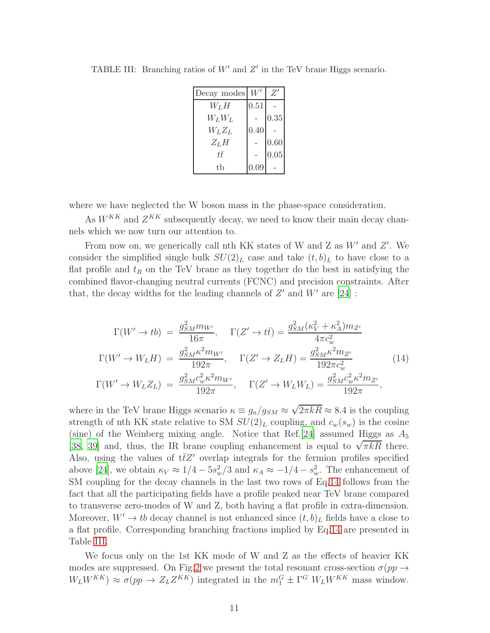| Decay modes |      | $Z^{\prime}$ |
|-------------|------|--------------|
| $W_L H$     | 0.51 |              |
| $W_L W_L$   |      | 0.35         |
| $W_LZ_L$    | 0.40 |              |
| $Z_L H$     |      | $0.60\,$     |
| tt          |      | 0.05         |
| tb          | 0.09 |              |

<span id="page-10-1"></span>TABLE III: Branching ratios of  $W'$  and  $Z'$  in the TeV brane Higgs scenario.

where we have neglected the W boson mass in the phase-space consideration.

As  $W^{KK}$  and  $Z^{KK}$  subsequently decay, we need to know their main decay channels which we now turn our attention to.

From now on, we generically call nth KK states of W and Z as  $W'$  and  $Z'$ . We consider the simplified single bulk  $SU(2)_L$  case and take  $(t, b)_L$  to have close to a flat profile and  $t_R$  on the TeV brane as they together do the best in satisfying the combined flavor-changing neutral currents (FCNC) and precision constraints. After that, the decay widths for the leading channels of  $Z'$  and  $W'$  are  $[24]$ :

<span id="page-10-0"></span>
$$
\Gamma(W' \to tb) = \frac{g_{SM}^2 m_{W'}}{16\pi}, \quad \Gamma(Z' \to t\bar{t}) = \frac{g_{SM}^2 (\kappa_V^2 + \kappa_A^2) m_{Z'}}{4\pi c_w^2}
$$
\n
$$
\Gamma(W' \to W_L H) = \frac{g_{SM}^2 \kappa^2 m_{W'}}{192\pi}, \quad \Gamma(Z' \to Z_L H) = \frac{g_{SM}^2 \kappa^2 m_{Z'}}{192\pi c_w^2}
$$
\n
$$
\Gamma(W' \to W_L Z_L) = \frac{g_{SM}^2 c_w^2 \kappa^2 m_{W'}}{192\pi}, \quad \Gamma(Z' \to W_L W_L) = \frac{g_{SM}^2 c_w^2 \kappa^2 m_{Z'}}{192\pi},
$$
\n
$$
(14)
$$

where in the TeV brane Higgs scenario  $\kappa \equiv g_n/g_{SM} \approx \sqrt{2\pi kR} \approx 8.4$  is the coupling strength of nth KK state relative to SM  $SU(2)_L$  coupling, and  $c_w(s_w)$  is the cosine (sine) of the Weinberg mixing angle. Notice that Ref. [\[24](#page-17-16)] assumed Higgs as  $A_5$ [\[38](#page-18-2), [39\]](#page-18-3) and, thus, the IR brane coupling enhancement is equal to  $\sqrt{\pi kR}$  there. Also, using the values of  $t\bar{t}Z'$  overlap integrals for the fermion profiles specified above [\[24](#page-17-16)], we obtain  $\kappa_V \approx 1/4 - 5s_w^2/3$  and  $\kappa_A \approx -1/4 - s_w^2$ . The enhancement of SM coupling for the decay channels in the last two rows of Eq[.14](#page-10-0) follows from the fact that all the participating fields have a profile peaked near TeV brane compared to transverse zero-modes of W and Z, both having a flat profile in extra-dimension. Moreover,  $W' \to tb$  decay channel is not enhanced since  $(t, b)_L$  fields have a close to a flat profile. Corresponding branching fractions implied by Eq[.14](#page-10-0) are presented in Table [III.](#page-10-1)

We focus only on the 1st KK mode of W and Z as the effects of heavier KK modes are suppressed. On Fig[.2](#page-11-0) we present the total resonant cross-section  $\sigma(pp \to$  $W_L W^{KK}$ )  $\approx \sigma(pp \to Z_L Z^{KK})$  integrated in the  $m_1^G \pm \Gamma^G W_L W^{KK}$  mass window.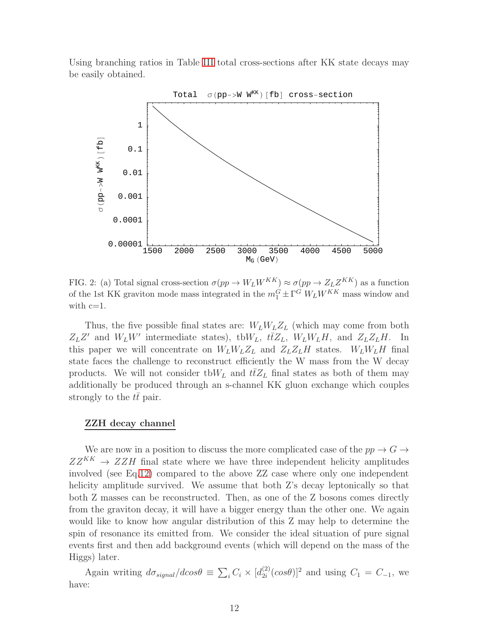Using branching ratios in Table [III](#page-10-1) total cross-sections after KK state decays may be easily obtained.



<span id="page-11-0"></span>FIG. 2: (a) Total signal cross-section  $\sigma(pp \to W_L W^{KK}) \approx \sigma(pp \to Z_L Z^{KK})$  as a function of the 1st KK graviton mode mass integrated in the  $m_1^G \pm \Gamma^G W_L W^{KK}$  mass window and with  $c=1$ .

Thus, the five possible final states are:  $W_L W_L Z_L$  (which may come from both  $Z_L Z'$  and  $W_L W'$  intermediate states), tb $W_L$ ,  $t\bar{t}Z_L$ ,  $W_L W_L H$ , and  $Z_L Z_L H$ . In this paper we will concentrate on  $W_L W_L Z_L$  and  $Z_L Z_L H$  states.  $W_L W_L H$  final state faces the challenge to reconstruct efficiently the W mass from the W decay products. We will not consider tb $W_L$  and  $t\bar{t}Z_L$  final states as both of them may additionally be produced through an s-channel KK gluon exchange which couples strongly to the tt pair.

### ZZH decay channel

We are now in a position to discuss the more complicated case of the  $pp \to G \to$  $ZZ^{KK} \rightarrow ZZH$  final state where we have three independent helicity amplitudes involved (see Eq[.12\)](#page-9-1) compared to the above ZZ case where only one independent helicity amplitude survived. We assume that both Z's decay leptonically so that both Z masses can be reconstructed. Then, as one of the Z bosons comes directly from the graviton decay, it will have a bigger energy than the other one. We again would like to know how angular distribution of this Z may help to determine the spin of resonance its emitted from. We consider the ideal situation of pure signal events first and then add background events (which will depend on the mass of the Higgs) later.

Again writing  $d\sigma_{signal}/d\cos\theta \equiv \sum_i C_i \times [d_{2i}^{(2)}]$  $\binom{2}{2i}(cos\theta)^2$  and using  $C_1 = C_{-1}$ , we have: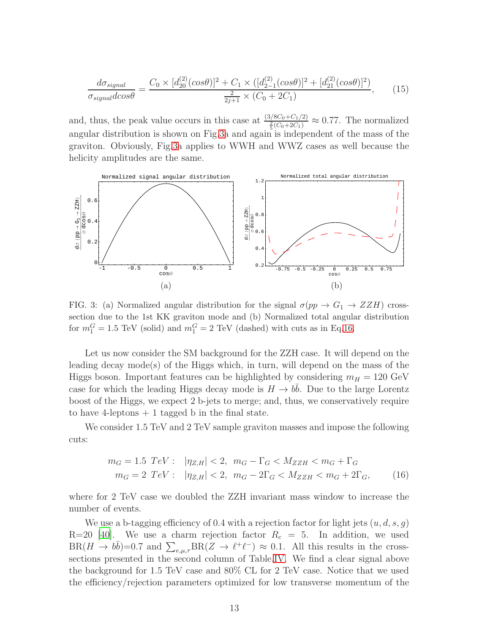$$
\frac{d\sigma_{signal}}{\sigma_{signal}d\cos\theta} = \frac{C_0 \times [d_{20}^{(2)}(\cos\theta)]^2 + C_1 \times ([d_{2-1}^{(2)}(\cos\theta)]^2 + [d_{21}^{(2)}(\cos\theta)]^2)}{\frac{2}{2j+1} \times (C_0 + 2C_1)},\tag{15}
$$

and, thus, the peak value occurs in this case at  $\frac{(3/8C_0+C_1/2)}{\frac{2}{5}(C_0+2C_1)} \approx 0.77$ . The normalized angular distribution is shown on Fig[.3a](#page-12-0) and again is independent of the mass of the graviton. Obviously, Fig[.3a](#page-12-0) applies to WWH and WWZ cases as well because the helicity amplitudes are the same.



<span id="page-12-0"></span>FIG. 3: (a) Normalized angular distribution for the signal  $\sigma(pp \to G_1 \to ZZH)$  crosssection due to the 1st KK graviton mode and (b) Normalized total angular distribution for  $m_1^G = 1.5$  TeV (solid) and  $m_1^G = 2$  TeV (dashed) with cuts as in Eq[.16.](#page-12-1)

Let us now consider the SM background for the ZZH case. It will depend on the leading decay mode(s) of the Higgs which, in turn, will depend on the mass of the Higgs boson. Important features can be highlighted by considering  $m_H = 120 \text{ GeV}$ case for which the leading Higgs decay mode is  $H \to b\bar{b}$ . Due to the large Lorentz boost of the Higgs, we expect 2 b-jets to merge; and, thus, we conservatively require to have 4-leptons  $+1$  tagged b in the final state.

We consider 1.5 TeV and 2 TeV sample graviton masses and impose the following cuts:

<span id="page-12-1"></span>
$$
m_G = 1.5 \ TeV: \ |\eta_{Z,H}| < 2, \ m_G - \Gamma_G < M_{ZZH} < m_G + \Gamma_G
$$
\n
$$
m_G = 2 \ TeV: \ |\eta_{Z,H}| < 2, \ m_G - 2\Gamma_G < M_{ZZH} < m_G + 2\Gamma_G, \tag{16}
$$

where for 2 TeV case we doubled the ZZH invariant mass window to increase the number of events.

We use a b-tagging efficiency of 0.4 with a rejection factor for light jets  $(u, d, s, q)$ R=20 [\[40](#page-18-4)]. We use a charm rejection factor  $R_c = 5$ . In addition, we used  $BR(H \to b\bar{b})=0.7$  and  $\sum_{e,\mu,\tau} BR(Z \to \ell^+ \ell^-) \approx 0.1$ . All this results in the crosssections presented in the second column of Table[.IV.](#page-13-0) We find a clear signal above the background for 1.5 TeV case and 80% CL for 2 TeV case. Notice that we used the efficiency/rejection parameters optimized for low transverse momentum of the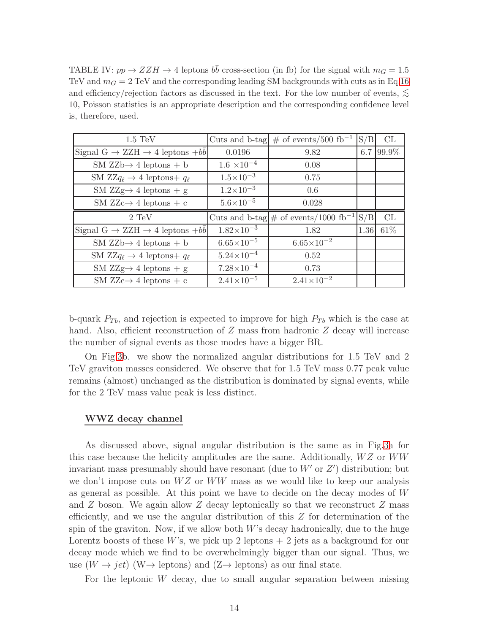<span id="page-13-0"></span>TABLE IV:  $pp \rightarrow ZZH \rightarrow 4$  leptons  $b\bar{b}$  cross-section (in fb) for the signal with  $m_G = 1.5$ TeV and  $m_G = 2$  TeV and the corresponding leading SM backgrounds with cuts as in Eq[.16](#page-12-1) and efficiency/rejection factors as discussed in the text. For the low number of events,  $\lesssim$ 10, Poisson statistics is an appropriate description and the corresponding confidence level is, therefore, used.

| $1.5 \text{ TeV}$                                      |                       | Cuts and b-tag $\#$ of events/500 fb <sup>-1</sup>  | S/B  | СL    |
|--------------------------------------------------------|-----------------------|-----------------------------------------------------|------|-------|
| Signal $G \rightarrow ZZH \rightarrow 4$ leptons $+bb$ | 0.0196                | 9.82                                                | 6.7  | 99.9% |
| $SM$ ZZb $\rightarrow$ 4 leptons + b                   | $1.6 \times 10^{-4}$  | 0.08                                                |      |       |
| SM $ZZq_{\ell} \rightarrow 4$ leptons + $q_{\ell}$     | $1.5 \times 10^{-3}$  | 0.75                                                |      |       |
| SM ZZg $\rightarrow$ 4 leptons + g                     | $1.2 \times 10^{-3}$  | 0.6                                                 |      |       |
| SM ZZc $\rightarrow$ 4 leptons + c                     | $5.6 \times 10^{-5}$  | 0.028                                               |      |       |
|                                                        |                       |                                                     |      |       |
| $2 \text{ TeV}$                                        |                       | Cuts and b-tag $\#$ of events/1000 fb <sup>-1</sup> | S/B  | CL    |
| Signal $G \rightarrow ZZH \rightarrow 4$ leptons $+bb$ | $1.82\times10^{-3}$   | 1.82                                                | 1.36 | 61\%  |
| $SM$ ZZb $\rightarrow$ 4 leptons + b                   | $6.65\times10^{-5}$   | $6.65 \times 10^{-2}$                               |      |       |
| SM $ZZq_{\ell} \rightarrow 4$ leptons + $q_{\ell}$     | $5.24 \times 10^{-4}$ | 0.52                                                |      |       |
| SM ZZg $\rightarrow$ 4 leptons + g                     | $7.28\times10^{-4}$   | 0.73                                                |      |       |

b-quark  $P_{Tb}$ , and rejection is expected to improve for high  $P_{Tb}$  which is the case at hand. Also, efficient reconstruction of Z mass from hadronic Z decay will increase the number of signal events as those modes have a bigger BR.

On Fig[.3b](#page-12-0). we show the normalized angular distributions for 1.5 TeV and 2 TeV graviton masses considered. We observe that for 1.5 TeV mass 0.77 peak value remains (almost) unchanged as the distribution is dominated by signal events, while for the 2 TeV mass value peak is less distinct.

### WWZ decay channel

As discussed above, signal angular distribution is the same as in Fig[.3a](#page-12-0) for this case because the helicity amplitudes are the same. Additionally,  $WZ$  or  $WW$ invariant mass presumably should have resonant (due to  $W'$  or  $Z'$ ) distribution; but we don't impose cuts on  $WZ$  or  $WW$  mass as we would like to keep our analysis as general as possible. At this point we have to decide on the decay modes of W and  $Z$  boson. We again allow  $Z$  decay leptonically so that we reconstruct  $Z$  mass efficiently, and we use the angular distribution of this Z for determination of the spin of the graviton. Now, if we allow both  $W$ 's decay hadronically, due to the huge Lorentz boosts of these W's, we pick up 2 leptons  $+2$  jets as a background for our decay mode which we find to be overwhelmingly bigger than our signal. Thus, we use  $(W \to jet)$  (W $\to$  leptons) and  $(Z \to$  leptons) as our final state.

For the leptonic  $W$  decay, due to small angular separation between missing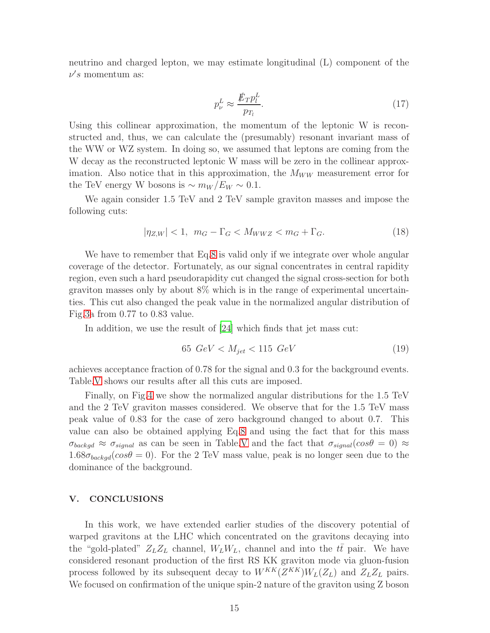neutrino and charged lepton, we may estimate longitudinal (L) component of the  $\nu's$  momentum as:

$$
p_{\nu}^{L} \approx \frac{\rlap{\,/}E_T p_l^L}{p_{T_l}}.\tag{17}
$$

Using this collinear approximation, the momentum of the leptonic W is reconstructed and, thus, we can calculate the (presumably) resonant invariant mass of the WW or WZ system. In doing so, we assumed that leptons are coming from the W decay as the reconstructed leptonic W mass will be zero in the collinear approximation. Also notice that in this approximation, the  $M_{WW}$  measurement error for the TeV energy W bosons is  $\sim m_W/E_W \sim 0.1$ .

We again consider 1.5 TeV and 2 TeV sample graviton masses and impose the following cuts:

<span id="page-14-0"></span>
$$
|\eta_{Z,W}| < 1, \quad m_G - \Gamma_G < M_{WWZ} < m_G + \Gamma_G. \tag{18}
$$

We have to remember that Eq[.8](#page-7-0) is valid only if we integrate over whole angular coverage of the detector. Fortunately, as our signal concentrates in central rapidity region, even such a hard pseudorapidity cut changed the signal cross-section for both graviton masses only by about 8% which is in the range of experimental uncertainties. This cut also changed the peak value in the normalized angular distribution of Fig[.3a](#page-12-0) from 0.77 to 0.83 value.

In addition, we use the result of [\[24\]](#page-17-16) which finds that jet mass cut:

<span id="page-14-1"></span>
$$
65\ GeV < M_{jet} < 115\ GeV \tag{19}
$$

achieves acceptance fraction of 0.78 for the signal and 0.3 for the background events. Table[.V](#page-15-0) shows our results after all this cuts are imposed.

Finally, on Fig[.4](#page-15-1) we show the normalized angular distributions for the 1.5 TeV and the 2 TeV graviton masses considered. We observe that for the 1.5 TeV mass peak value of 0.83 for the case of zero background changed to about 0.7. This value can also be obtained applying Eq[.8](#page-7-0) and using the fact that for this mass  $\sigma_{background} \approx \sigma_{signal}$  as can be seen in Table[.V](#page-15-0) and the fact that  $\sigma_{signal}(cos\theta = 0) \approx$  $1.68\sigma_{background}(cos\theta = 0)$ . For the 2 TeV mass value, peak is no longer seen due to the dominance of the background.

### V. CONCLUSIONS

In this work, we have extended earlier studies of the discovery potential of warped gravitons at the LHC which concentrated on the gravitons decaying into the "gold-plated"  $Z_L Z_L$  channel,  $W_L W_L$ , channel and into the  $t\bar{t}$  pair. We have considered resonant production of the first RS KK graviton mode via gluon-fusion process followed by its subsequent decay to  $W^{KK}(Z^{KK})W_L(Z_L)$  and  $Z_LZ_L$  pairs. We focused on confirmation of the unique spin-2 nature of the graviton using Z boson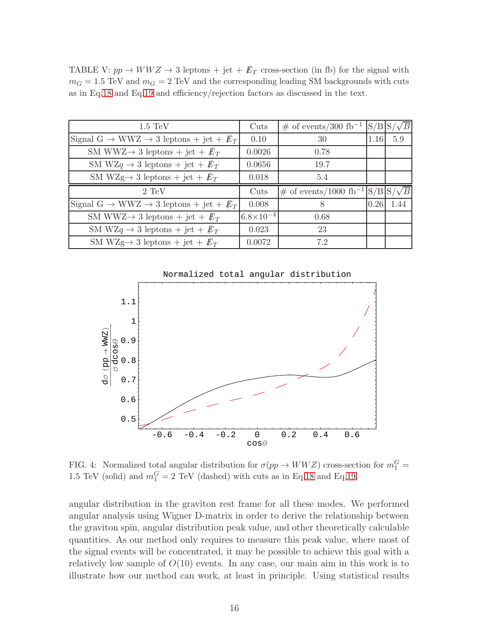<span id="page-15-0"></span>TABLE V:  $pp \rightarrow WWZ \rightarrow 3$  leptons + jet +  $E_T$  cross-section (in fb) for the signal with  $m_G = 1.5$  TeV and  $m_G = 2$  TeV and the corresponding leading SM backgrounds with cuts as in Eq[.18](#page-14-0) and Eq[.19](#page-14-1) and efficiency/rejection factors as discussed in the text.

| $1.5 \text{ TeV}$                                                             | Cuts               | $\#$ of events/300 fb <sup>-1</sup>          | $S/B$ S |      |
|-------------------------------------------------------------------------------|--------------------|----------------------------------------------|---------|------|
| Signal G $\rightarrow$ WWZ $\rightarrow$ 3 leptons + jet + $E_T$              | 0.10               | 30                                           | 1.16    | 5.9  |
| SM WWZ $\rightarrow$ 3 leptons + jet + $\not{E}_T$                            | 0.0026             | 0.78                                         |         |      |
| SM WZq $\rightarrow$ 3 leptons + jet + $\not{\!\! E}_T$                       | 0.0656             | 19.7                                         |         |      |
| SM WZg $\rightarrow$ 3 leptons + jet + $\not{E}_T$                            | 0.018              | 5.4                                          |         |      |
|                                                                               |                    |                                              |         |      |
| $2 \text{ TeV}$                                                               | Cuts               | $\#$ of events/1000 fb <sup>-1</sup>  S/B S/ |         |      |
| Signal G $\rightarrow$ WWZ $\rightarrow$ 3 leptons + jet + $\not\mathbb{E}_T$ | 0.008              | 8                                            | 0.26    | 1.44 |
| SM WWZ $\rightarrow$ 3 leptons + jet + $\not{E}_T$                            | $6.8\times10^{-4}$ | 0.68                                         |         |      |
| SM WZq $\rightarrow$ 3 leptons + jet + $\not{E}_T$                            | 0.023              | 23                                           |         |      |



<span id="page-15-1"></span>FIG. 4: Normalized total angular distribution for  $\sigma(pp \to WWZ)$  cross-section for  $m_1^G =$ 1.5 TeV (solid) and  $m_1^G = 2$  TeV (dashed) with cuts as in Eq[.18](#page-14-0) and Eq[.19.](#page-14-1)

angular distribution in the graviton rest frame for all these modes. We performed angular analysis using Wigner D-matrix in order to derive the relationship between the graviton spin, angular distribution peak value, and other theoretically calculable quantities. As our method only requires to measure this peak value, where most of the signal events will be concentrated, it may be possible to achieve this goal with a relatively low sample of  $O(10)$  events. In any case, our main aim in this work is to illustrate how our method can work, at least in principle. Using statistical results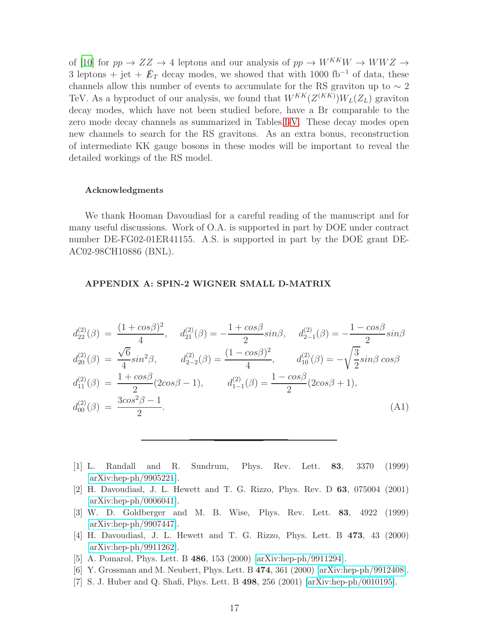of [\[10](#page-17-2)] for  $pp \rightarrow ZZ \rightarrow 4$  leptons and our analysis of  $pp \rightarrow W^{KK}W \rightarrow WWZ \rightarrow$ 3 leptons + jet +  $\not{E}_T$  decay modes, we showed that with 1000 fb<sup>-1</sup> of data, these channels allow this number of events to accumulate for the RS graviton up to  $\sim 2$ TeV. As a byproduct of our analysis, we found that  $W^{KK}(Z^{(KK)})W_L(Z_L)$  graviton decay modes, which have not been studied before, have a Br comparable to the zero mode decay channels as summarized in Tables[.I-](#page-5-0)[V.](#page-15-0) These decay modes open new channels to search for the RS gravitons. As an extra bonus, reconstruction of intermediate KK gauge bosons in these modes will be important to reveal the detailed workings of the RS model.

#### Acknowledgments

We thank Hooman Davoudiasl for a careful reading of the manuscript and for many useful discussions. Work of O.A. is supported in part by DOE under contract number DE-FG02-01ER41155. A.S. is supported in part by the DOE grant DE-AC02-98CH10886 (BNL).

#### APPENDIX A: SPIN-2 WIGNER SMALL D-MATRIX

$$
d_{22}^{(2)}(\beta) = \frac{(1+\cos\beta)^2}{4}, \quad d_{21}^{(2)}(\beta) = -\frac{1+\cos\beta}{2}\sin\beta, \quad d_{2-1}^{(2)}(\beta) = -\frac{1-\cos\beta}{2}\sin\beta
$$
  
\n
$$
d_{20}^{(2)}(\beta) = \frac{\sqrt{6}}{4}\sin^2\beta, \quad d_{2-2}^{(2)}(\beta) = \frac{(1-\cos\beta)^2}{4}, \quad d_{10}^{(2)}(\beta) = -\sqrt{\frac{3}{2}}\sin\beta\cos\beta
$$
  
\n
$$
d_{11}^{(2)}(\beta) = \frac{1+\cos\beta}{2}(2\cos\beta-1), \quad d_{1-1}^{(2)}(\beta) = \frac{1-\cos\beta}{2}(2\cos\beta+1),
$$
  
\n
$$
d_{00}^{(2)}(\beta) = \frac{3\cos^2\beta-1}{2}.
$$
\n(A1)

- <span id="page-16-0"></span>[1] L. Randall and R. Sundrum, Phys. Rev. Lett. 83, 3370 (1999) [\[arXiv:hep-ph/9905221\]](http://arxiv.org/abs/hep-ph/9905221).
- <span id="page-16-1"></span>[2] H. Davoudiasl, J. L. Hewett and T. G. Rizzo, Phys. Rev. D 63, 075004 (2001) [\[arXiv:hep-ph/0006041\]](http://arxiv.org/abs/hep-ph/0006041).
- <span id="page-16-2"></span>[3] W. D. Goldberger and M. B. Wise, Phys. Rev. Lett. 83, 4922 (1999) [\[arXiv:hep-ph/9907447\]](http://arxiv.org/abs/hep-ph/9907447).
- <span id="page-16-3"></span>[4] H. Davoudiasl, J. L. Hewett and T. G. Rizzo, Phys. Lett. B 473, 43 (2000) [\[arXiv:hep-ph/9911262\]](http://arxiv.org/abs/hep-ph/9911262).
- <span id="page-16-4"></span>[5] A. Pomarol, Phys. Lett. B 486, 153 (2000) [\[arXiv:hep-ph/9911294\]](http://arxiv.org/abs/hep-ph/9911294).
- <span id="page-16-5"></span>[6] Y. Grossman and M. Neubert, Phys. Lett. B 474, 361 (2000) [\[arXiv:hep-ph/9912408\]](http://arxiv.org/abs/hep-ph/9912408).
- <span id="page-16-6"></span>[7] S. J. Huber and Q. Shafi, Phys. Lett. B 498, 256 (2001) [\[arXiv:hep-ph/0010195\]](http://arxiv.org/abs/hep-ph/0010195).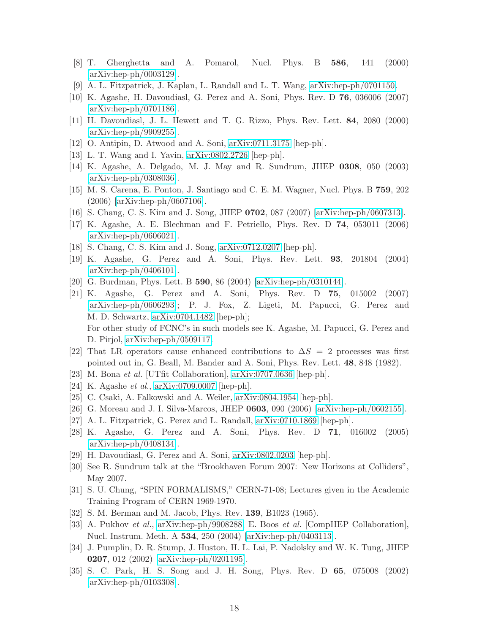- <span id="page-17-0"></span>[8] T. Gherghetta and A. Pomarol, Nucl. Phys. B 586, 141 (2000) [\[arXiv:hep-ph/0003129\]](http://arxiv.org/abs/hep-ph/0003129).
- <span id="page-17-1"></span>[9] A. L. Fitzpatrick, J. Kaplan, L. Randall and L. T. Wang, [arXiv:hep-ph/0701150.](http://arxiv.org/abs/hep-ph/0701150)
- <span id="page-17-2"></span>[10] K. Agashe, H. Davoudiasl, G. Perez and A. Soni, Phys. Rev. D 76, 036006 (2007) [\[arXiv:hep-ph/0701186\]](http://arxiv.org/abs/hep-ph/0701186).
- <span id="page-17-3"></span>[11] H. Davoudiasl, J. L. Hewett and T. G. Rizzo, Phys. Rev. Lett. 84, 2080 (2000) [\[arXiv:hep-ph/9909255\]](http://arxiv.org/abs/hep-ph/9909255).
- <span id="page-17-4"></span>[12] O. Antipin, D. Atwood and A. Soni, [arXiv:0711.3175](http://arxiv.org/abs/0711.3175) [hep-ph].
- <span id="page-17-5"></span>[13] L. T. Wang and I. Yavin, [arXiv:0802.2726](http://arxiv.org/abs/0802.2726) [hep-ph].
- <span id="page-17-6"></span>[14] K. Agashe, A. Delgado, M. J. May and R. Sundrum, JHEP 0308, 050 (2003) [\[arXiv:hep-ph/0308036\]](http://arxiv.org/abs/hep-ph/0308036).
- <span id="page-17-7"></span>[15] M. S. Carena, E. Ponton, J. Santiago and C. E. M. Wagner, Nucl. Phys. B 759, 202 (2006) [\[arXiv:hep-ph/0607106\]](http://arxiv.org/abs/hep-ph/0607106).
- <span id="page-17-8"></span>[16] S. Chang, C. S. Kim and J. Song, JHEP 0702, 087 (2007) [\[arXiv:hep-ph/0607313\]](http://arxiv.org/abs/hep-ph/0607313).
- <span id="page-17-9"></span>[17] K. Agashe, A. E. Blechman and F. Petriello, Phys. Rev. D 74, 053011 (2006) [\[arXiv:hep-ph/0606021\]](http://arxiv.org/abs/hep-ph/0606021).
- <span id="page-17-10"></span>[18] S. Chang, C. S. Kim and J. Song, [arXiv:0712.0207](http://arxiv.org/abs/0712.0207) [hep-ph].
- <span id="page-17-11"></span>[19] K. Agashe, G. Perez and A. Soni, Phys. Rev. Lett. 93, 201804 (2004) [\[arXiv:hep-ph/0406101\]](http://arxiv.org/abs/hep-ph/0406101).
- <span id="page-17-12"></span>[20] G. Burdman, Phys. Lett. B 590, 86 (2004) [\[arXiv:hep-ph/0310144\]](http://arxiv.org/abs/hep-ph/0310144).
- <span id="page-17-13"></span>[21] K. Agashe, G. Perez and A. Soni, Phys. Rev. D 75, 015002 (2007) [\[arXiv:hep-ph/0606293\]](http://arxiv.org/abs/hep-ph/0606293); P. J. Fox, Z. Ligeti, M. Papucci, G. Perez and M. D. Schwartz, [arXiv:0704.1482](http://arxiv.org/abs/0704.1482) [hep-ph]; For other study of FCNC's in such models see K. Agashe, M. Papucci, G. Perez and D. Pirjol, [arXiv:hep-ph/0509117.](http://arxiv.org/abs/hep-ph/0509117)
- <span id="page-17-14"></span>[22] That LR operators cause enhanced contributions to  $\Delta S = 2$  processes was first pointed out in, G. Beall, M. Bander and A. Soni, Phys. Rev. Lett. 48, 848 (1982).
- <span id="page-17-15"></span>[23] M. Bona et al. [UTfit Collaboration], [arXiv:0707.0636](http://arxiv.org/abs/0707.0636) [hep-ph].
- <span id="page-17-16"></span>[24] K. Agashe et al., [arXiv:0709.0007](http://arxiv.org/abs/0709.0007) [hep-ph].
- <span id="page-17-17"></span>[25] C. Csaki, A. Falkowski and A. Weiler, [arXiv:0804.1954](http://arxiv.org/abs/0804.1954) [hep-ph].
- <span id="page-17-18"></span>[26] G. Moreau and J. I. Silva-Marcos, JHEP 0603, 090 (2006) [\[arXiv:hep-ph/0602155\]](http://arxiv.org/abs/hep-ph/0602155).
- <span id="page-17-19"></span>[27] A. L. Fitzpatrick, G. Perez and L. Randall, [arXiv:0710.1869](http://arxiv.org/abs/0710.1869) [hep-ph].
- <span id="page-17-20"></span>[28] K. Agashe, G. Perez and A. Soni, Phys. Rev. D 71, 016002 (2005) [\[arXiv:hep-ph/0408134\]](http://arxiv.org/abs/hep-ph/0408134).
- <span id="page-17-21"></span>[29] H. Davoudiasl, G. Perez and A. Soni, [arXiv:0802.0203](http://arxiv.org/abs/0802.0203) [hep-ph].
- <span id="page-17-22"></span>[30] See R. Sundrum talk at the "Brookhaven Forum 2007: New Horizons at Colliders", May 2007.
- <span id="page-17-23"></span>[31] S. U. Chung, "SPIN FORMALISMS," CERN-71-08; Lectures given in the Academic Training Program of CERN 1969-1970.
- <span id="page-17-24"></span>[32] S. M. Berman and M. Jacob, Phys. Rev. 139, B1023 (1965).
- <span id="page-17-25"></span>[33] A. Pukhov et al., [arXiv:hep-ph/9908288,](http://arxiv.org/abs/hep-ph/9908288) E. Boos et al. [CompHEP Collaboration], Nucl. Instrum. Meth. A 534, 250 (2004) [\[arXiv:hep-ph/0403113\]](http://arxiv.org/abs/hep-ph/0403113).
- <span id="page-17-26"></span>[34] J. Pumplin, D. R. Stump, J. Huston, H. L. Lai, P. Nadolsky and W. K. Tung, JHEP 0207, 012 (2002) [\[arXiv:hep-ph/0201195\]](http://arxiv.org/abs/hep-ph/0201195).
- <span id="page-17-27"></span>[35] S. C. Park, H. S. Song and J. H. Song, Phys. Rev. D 65, 075008 (2002) [\[arXiv:hep-ph/0103308\]](http://arxiv.org/abs/hep-ph/0103308).